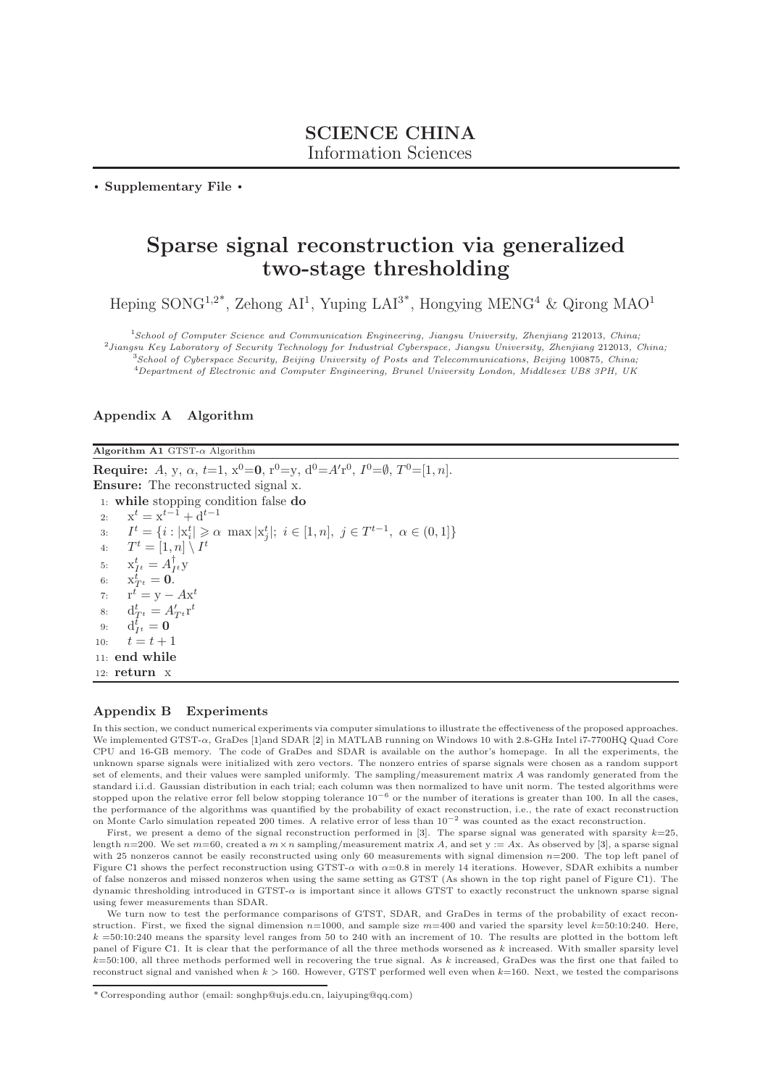. Supplementary File .

# Sparse signal reconstruction via generalized two-stage thresholding

Heping SONG<sup>1,2\*</sup>, Zehong AI<sup>1</sup>, Yuping LAI<sup>3\*</sup>, Hongying MENG<sup>4</sup> & Qirong MAO<sup>1</sup>

School of Computer Science and Communication Engineering, Jiangsu University, Zhenjiang 212013, China; Jiangsu Key Laboratory of Security Technology for Industrial Cyberspace, Jiangsu University, Zhenjiang 212013, China; School of Cyberspace Security, Beijing University of Posts and Telecommunications, Beijing 100875, China; Department of Electronic and Computer Engineering, Brunel University London, Middlesex UB8 3PH, UK

### Appendix A Algorithm

Algorithm A1 GTST- $\alpha$  Algorithm

**Require:** A, y,  $\alpha$ , t=1,  $x^0=0$ ,  $r^0=y$ ,  $d^0=A'r^0$ ,  $I^0=\emptyset$ ,  $T^0=[1, n]$ . Ensure: The reconstructed signal x. 1: while stopping condition false do 2:  $x^t = x^{t-1} + d^{t-1}$ 3:  $I^t = \{i : |x_i^t| \geq \alpha \, \max |x_j^t|; i \in [1, n], j \in T^{t-1}, \alpha \in (0, 1]\}$ 4:  $T^t = [1, n] \setminus I^t$ 5:  $x_{I^t}^t = A_{I^t}^{\dagger} y$ 6:  $x_{T^t}^t = 0$ . 7:  $\mathbf{r}^t = \mathbf{y} - A\mathbf{x}^t$ 8:  $d_{T^t}^t = A'_{T^t} r^t$ 9:  $d_{I^t}^{\bar{t}} = 0$ 10:  $t = t + 1$ 11: end while 12: return x

#### Appendix B Experiments

In this section, we conduct numerical experiments via computer simulations to illustrate the effectiveness of the proposed approaches. We implemented GTST-α, GraDes [\[1\]](#page-1-0)and SDAR [\[2\]](#page-1-1) in MATLAB running on Windows 10 with 2.8-GHz Intel i7-7700HQ Quad Core CPU and 16-GB memory. The code of GraDes and SDAR is available on the author's homepage. In all the experiments, the unknown sparse signals were initialized with zero vectors. The nonzero entries of sparse signals were chosen as a random support set of elements, and their values were sampled uniformly. The sampling/measurement matrix A was randomly generated from the standard i.i.d. Gaussian distribution in each trial; each column was then normalized to have unit norm. The tested algorithms were stopped upon the relative error fell below stopping tolerance  $10^{-6}$  or the number of iterations is greater than 100. In all the cases, the performance of the algorithms was quantified by the probability of exact reconstruction, i.e., the rate of exact reconstruction on Monte Carlo simulation repeated 200 times. A relative error of less than 10−<sup>2</sup> was counted as the exact reconstruction.

First, we present a demo of the signal reconstruction performed in  $[3]$ . The sparse signal was generated with sparsity  $k=25$ , length  $n=200$ . We set  $m=60$ , created a  $m \times n$  sampling/measurement matrix A, and set y := Ax. As observed by [\[3\]](#page-1-2), a sparse signal with 25 nonzeros cannot be easily reconstructed using only 60 measurements with signal dimension  $n=200$ . The top left panel of Figure [C1](#page-1-3) shows the perfect reconstruction using GTST- $\alpha$  with  $\alpha$ =0.8 in merely 14 iterations. However, SDAR exhibits a number of false nonzeros and missed nonzeros when using the same setting as GTST (As shown in the top right panel of Figure [C1\)](#page-1-3). The dynamic thresholding introduced in GTST- $\alpha$  is important since it allows GTST to exactly reconstruct the unknown sparse signal using fewer measurements than SDAR.

We turn now to test the performance comparisons of GTST, SDAR, and GraDes in terms of the probability of exact reconstruction. First, we fixed the signal dimension  $n=1000$ , and sample size  $m=400$  and varied the sparsity level  $k=50:10:240$ . Here,  $k = 50:10:240$  means the sparsity level ranges from 50 to 240 with an increment of 10. The results are plotted in the bottom left panel of Figure [C1.](#page-1-3) It is clear that the performance of all the three methods worsened as  $k$  increased. With smaller sparsity level  $k=50:100$ , all three methods performed well in recovering the true signal. As k increased, GraDes was the first one that failed to reconstruct signal and vanished when  $k > 160$ . However, GTST performed well even when  $k=160$ . Next, we tested the comparisons

<sup>\*</sup> Corresponding author (email: songhp@ujs.edu.cn, laiyuping@qq.com)